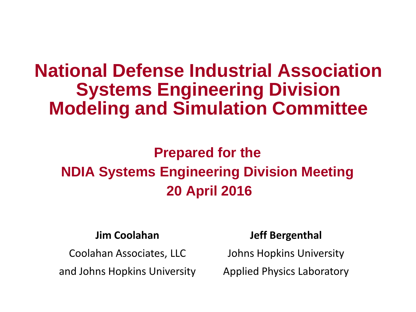# **National Defense Industrial Association Systems Engineering Division Modeling and Simulation Committee**

## **Prepared for the NDIA Systems Engineering Division Meeting 20 April 2016**

#### **Jim Coolahan**

Coolahan Associates, LLC

and Johns Hopkins University

#### **Jeff Bergenthal**

Johns Hopkins University

Applied Physics Laboratory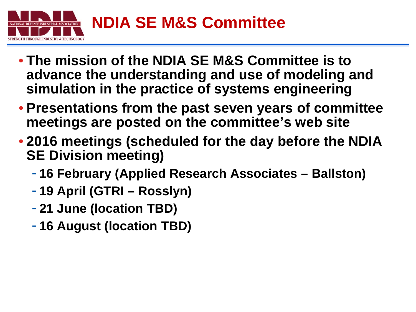

- **The mission of the NDIA SE M&S Committee is to advance the understanding and use of modeling and simulation in the practice of systems engineering**
- **Presentations from the past seven years of committee meetings are posted on the committee's web site**
- **2016 meetings (scheduled for the day before the NDIA SE Division meeting)**
	- **16 February (Applied Research Associates – Ballston)**
	- **19 April (GTRI – Rosslyn)**
	- **21 June (location TBD)**
	- **16 August (location TBD)**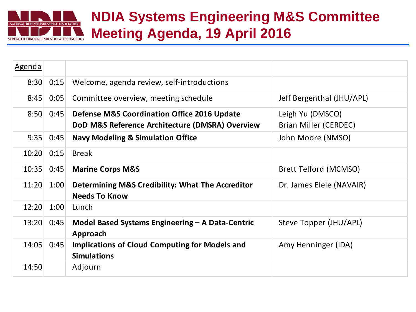

### **NDIA Systems Engineering M&S Committee Meeting Agenda, 19 April 2016**

| Agenda |      |                                                                                                           |                                           |
|--------|------|-----------------------------------------------------------------------------------------------------------|-------------------------------------------|
| 8:30   | 0:15 | Welcome, agenda review, self-introductions                                                                |                                           |
| 8:45   | 0:05 | Committee overview, meeting schedule                                                                      | Jeff Bergenthal (JHU/APL)                 |
| 8:50   | 0:45 | <b>Defense M&amp;S Coordination Office 2016 Update</b><br>DoD M&S Reference Architecture (DMSRA) Overview | Leigh Yu (DMSCO)<br>Brian Miller (CERDEC) |
| 9:35   | 0:45 | <b>Navy Modeling &amp; Simulation Office</b>                                                              | John Moore (NMSO)                         |
| 10:20  | 0:15 | <b>Break</b>                                                                                              |                                           |
| 10:35  | 0:45 | <b>Marine Corps M&amp;S</b>                                                                               | Brett Telford (MCMSO)                     |
| 11:20  | 1:00 | Determining M&S Credibility: What The Accreditor<br><b>Needs To Know</b>                                  | Dr. James Elele (NAVAIR)                  |
| 12:20  | 1:00 | Lunch                                                                                                     |                                           |
| 13:20  | 0:45 | Model Based Systems Engineering - A Data-Centric<br>Approach                                              | Steve Topper (JHU/APL)                    |
| 14:05  | 0:45 | <b>Implications of Cloud Computing for Models and</b><br><b>Simulations</b>                               | Amy Henninger (IDA)                       |
| 14:50  |      | Adjourn                                                                                                   |                                           |